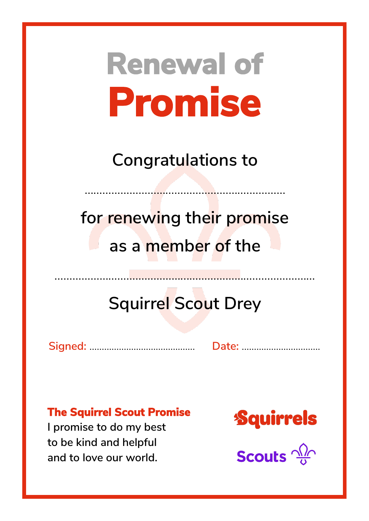**Congratulations to**

……………………………………………….…………

**for renewing their promise as a member of the**

## **Squirrel Scout Drey**

……………………………………...……………………………………

**Signed:** ……………...……………………. **Date:** …………………....…….

#### **The Squirrel Scout Promise**

**I promise to do my best to be kind and helpful and to love our world.**

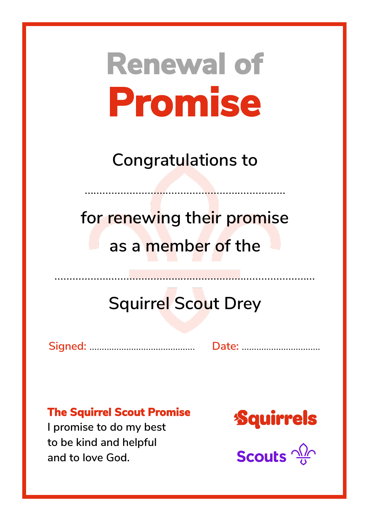**Congratulations to**

……………………………………………….…………

**for renewing their promise as a member of the**

## **Squirrel Scout Drey**

……………………………………...……………………………………

**Signed:** ……………...……………………. **Date:** …………………....…….

#### **The Squirrel Scout Promise**

**I promise to do my best to be kind and helpful and to love God.**

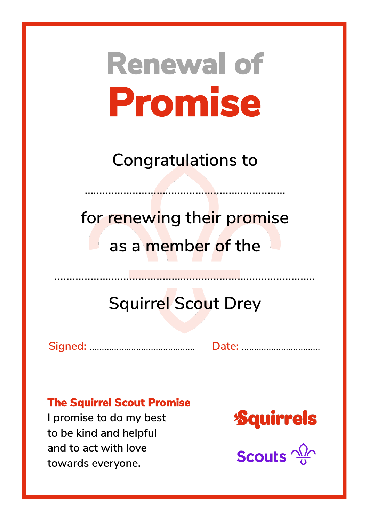**Congratulations to**

……………………………………………….…………

**for renewing their promise as a member of the**

## **Squirrel Scout Drey**

……………………………………...……………………………………

**Signed:** ……………...……………………. **Date:** …………………....…….

#### **The Squirrel Scout Promise**

**I promise to do my best to be kind and helpful and to act with love towards everyone.**

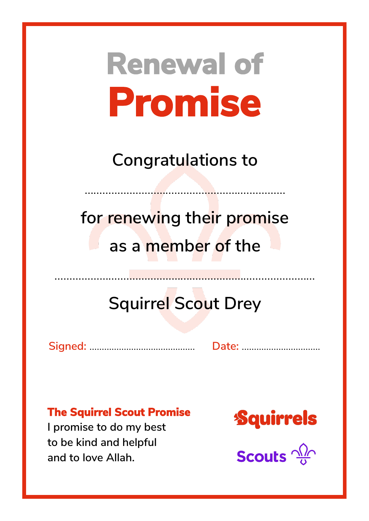**Congratulations to**

……………………………………………….…………

**for renewing their promise as a member of the**

## **Squirrel Scout Drey**

……………………………………...……………………………………

**Signed:** ……………...……………………. **Date:** …………………....…….

#### **The Squirrel Scout Promise**

**I promise to do my best to be kind and helpful and to love Allah.**

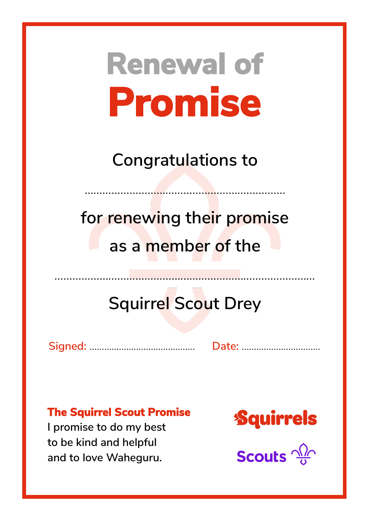**Congratulations to**

……………………………………………….…………

**for renewing their promise as a member of the**

## **Squirrel Scout Drey**

……………………………………...……………………………………

**Signed:** ……………...……………………. **Date:** …………………....…….

#### **The Squirrel Scout Promise**

**I promise to do my best to be kind and helpful and to love Waheguru.**